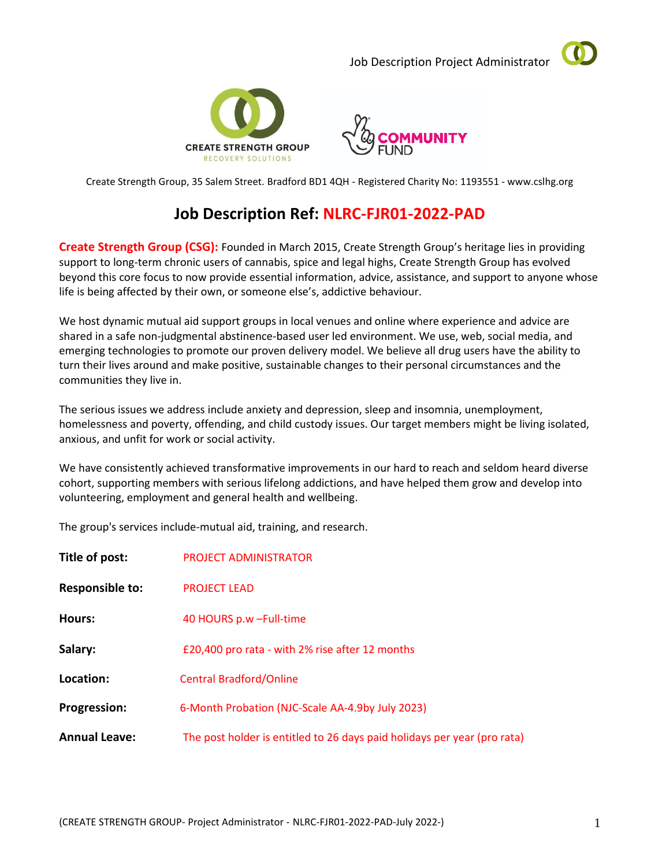Job Description Project Administrator







Create Strength Group, 35 Salem Street. Bradford BD1 4QH - Registered Charity No: 1193551 - www.cslhg.org

# **Job Description Ref: NLRC-FJR01-2022-PAD**

**Create Strength Group (CSG):** Founded in March 2015, Create Strength Group's heritage lies in providing support to long-term chronic users of cannabis, spice and legal highs, Create Strength Group has evolved beyond this core focus to now provide essential information, advice, assistance, and support to anyone whose life is being affected by their own, or someone else's, addictive behaviour.

We host dynamic mutual aid support groups in local venues and online where experience and advice are shared in a safe non-judgmental abstinence-based user led environment. We use, web, social media, and emerging technologies to promote our proven delivery model. We believe all drug users have the ability to turn their lives around and make positive, sustainable changes to their personal circumstances and the communities they live in.

The serious issues we address include anxiety and depression, sleep and insomnia, unemployment, homelessness and poverty, offending, and child custody issues. Our target members might be living isolated, anxious, and unfit for work or social activity.

We have consistently achieved transformative improvements in our hard to reach and seldom heard diverse cohort, supporting members with serious lifelong addictions, and have helped them grow and develop into volunteering, employment and general health and wellbeing.

The group's services include-mutual aid, training, and research.

| Title of post:         | <b>PROJECT ADMINISTRATOR</b>                                             |
|------------------------|--------------------------------------------------------------------------|
| <b>Responsible to:</b> | <b>PROJECT LEAD</b>                                                      |
| Hours:                 | 40 HOURS p.w - Full-time                                                 |
| Salary:                | £20,400 pro rata - with 2% rise after 12 months                          |
| Location:              | <b>Central Bradford/Online</b>                                           |
| <b>Progression:</b>    | 6-Month Probation (NJC-Scale AA-4.9by July 2023)                         |
| <b>Annual Leave:</b>   | The post holder is entitled to 26 days paid holidays per year (pro rata) |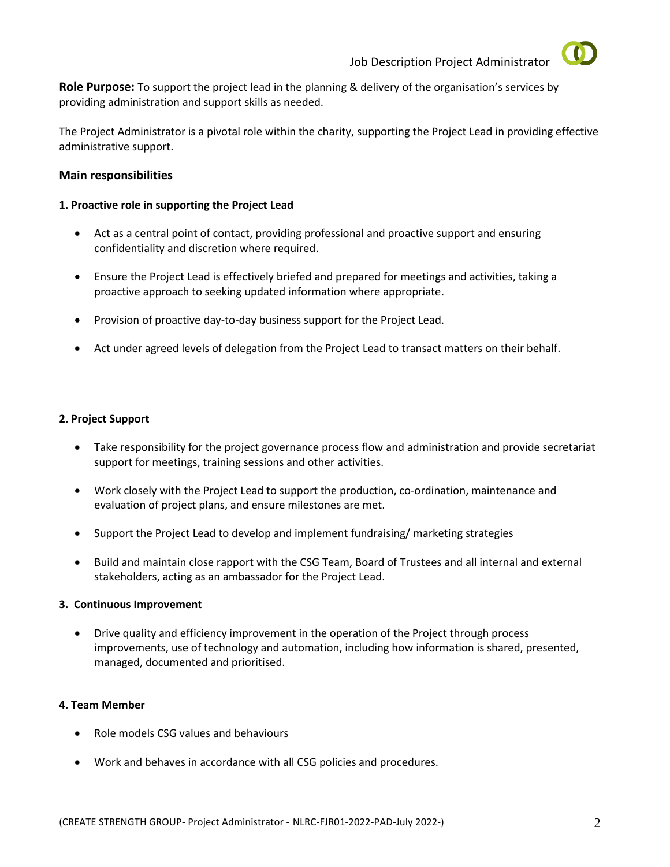



**Role Purpose:** To support the project lead in the planning & delivery of the organisation's services by providing administration and support skills as needed.

The Project Administrator is a pivotal role within the charity, supporting the Project Lead in providing effective administrative support.

## **Main responsibilities**

## **1. Proactive role in supporting the Project Lead**

- Act as a central point of contact, providing professional and proactive support and ensuring confidentiality and discretion where required.
- Ensure the Project Lead is effectively briefed and prepared for meetings and activities, taking a proactive approach to seeking updated information where appropriate.
- Provision of proactive day-to-day business support for the Project Lead.
- Act under agreed levels of delegation from the Project Lead to transact matters on their behalf.

#### **2. Project Support**

- Take responsibility for the project governance process flow and administration and provide secretariat support for meetings, training sessions and other activities.
- Work closely with the Project Lead to support the production, co-ordination, maintenance and evaluation of project plans, and ensure milestones are met.
- Support the Project Lead to develop and implement fundraising/ marketing strategies
- Build and maintain close rapport with the CSG Team, Board of Trustees and all internal and external stakeholders, acting as an ambassador for the Project Lead.

## **3. Continuous Improvement**

• Drive quality and efficiency improvement in the operation of the Project through process improvements, use of technology and automation, including how information is shared, presented, managed, documented and prioritised.

## **4. Team Member**

- Role models CSG values and behaviours
- Work and behaves in accordance with all CSG policies and procedures.